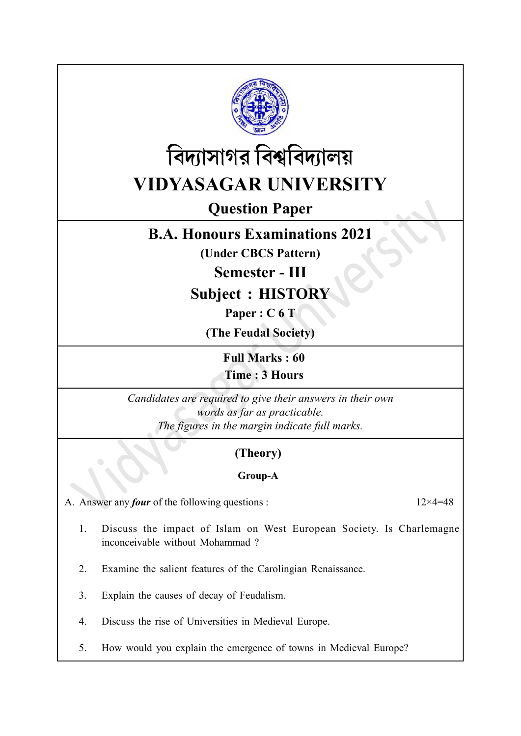



# Question Paper

# B.A. Honours Examinations 2021

(Under CBCS Pattern)

Semester - III

Subject : HISTORY

Paper : C 6 T

(The Feudal Society)

Full Marks : 60 Time : 3 Hours

Candidates are required to give their answers in their own words as far as practicable. The figures in the margin indicate full marks.

# (Theory)

## Group-A

A. Answer any *four* of the following questions :  $12 \times 4 = 48$ 

- 1. Discuss the impact of Islam on West European Society. Is Charlemagne inconceivable without Mohammad ?
- 2. Examine the salient features of the Carolingian Renaissance.
- 3. Explain the causes of decay of Feudalism.
- 4. Discuss the rise of Universities in Medieval Europe.
- 5. How would you explain the emergence of towns in Medieval Europe?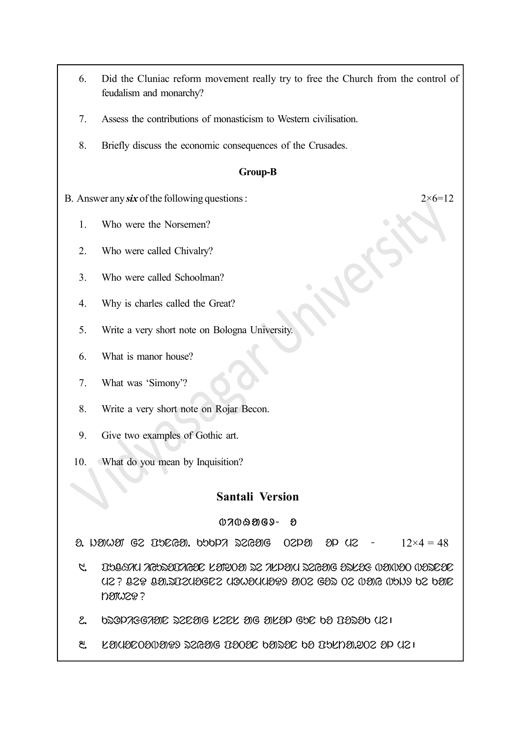- 6. Did the Cluniac reform movement really try to free the Church from the control of feudalism and monarchy?
- 7. Assess the contributions of monasticism to Western civilisation.
- $8<sub>1</sub>$ Briefly discuss the economic consequences of the Crusades.

### **Group-B**

 $2 \times 6 = 12$ 

- B. Answer any  $six$  of the following questions :
	- $1.$ Who were the Norsemen?
	- $2.$ Who were called Chivalry?
	- $\mathcal{E}$ Who were called Schoolman?
	- $4.$ Why is charles called the Great?
	- 5. Write a very short note on Bologna University.
	- 6. What is manor house?
	- $7<sub>1</sub>$ What was 'Simony'?
	- 8. Write a very short note on Rojar Becon.
	- 9. Give two examples of Gothic art.
	- 10. What do you mean by Inquisition?

### **Santali Version**

### $0700909$ ව

2. NAMAI GZ INDGA. ONOPA 22GAG  $8p$   $42$  $12\times4=48$  $O2P<sub>3</sub>$ 

- THINK NEWSOLAGE LETEOET SC NEPEN SCGETG DILEG WENDED WEIDER  $\tilde{a}$ 306 329 320 322309622 32303000000 3002 622 02 30906 3000 520 **DOIW20?**
- DOOPREGROIC OCCOR LOCK OF SULOP GOC DO DOOOD UZI  $\mathcal{E}_{\mathbf{r}}$
- ೬. LAUDEODODED SZGAG DOODE OASOE OD DOLDA.202 OP UZI